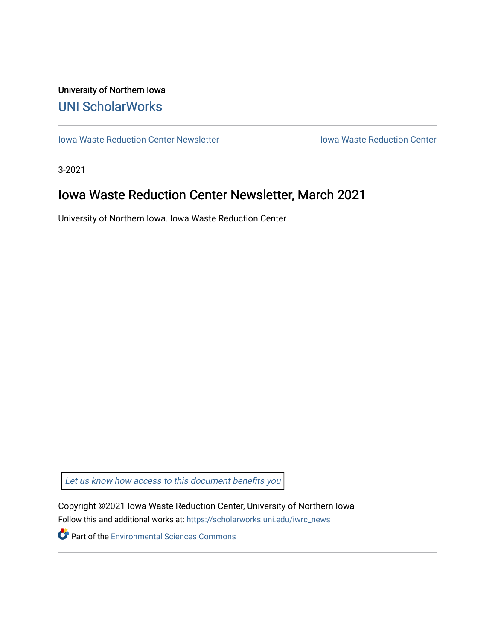## University of Northern Iowa [UNI ScholarWorks](https://scholarworks.uni.edu/)

[Iowa Waste Reduction Center Newsletter](https://scholarworks.uni.edu/iwrc_news) **Internal Communist Communist Center** Iowa Waste Reduction Center

3-2021

# Iowa Waste Reduction Center Newsletter, March 2021

University of Northern Iowa. Iowa Waste Reduction Center.

Let us know how access to this document benefits you

Copyright ©2021 Iowa Waste Reduction Center, University of Northern Iowa Follow this and additional works at: [https://scholarworks.uni.edu/iwrc\\_news](https://scholarworks.uni.edu/iwrc_news?utm_source=scholarworks.uni.edu%2Fiwrc_news%2F51&utm_medium=PDF&utm_campaign=PDFCoverPages) 

**Part of the [Environmental Sciences Commons](http://network.bepress.com/hgg/discipline/167?utm_source=scholarworks.uni.edu%2Fiwrc_news%2F51&utm_medium=PDF&utm_campaign=PDFCoverPages)**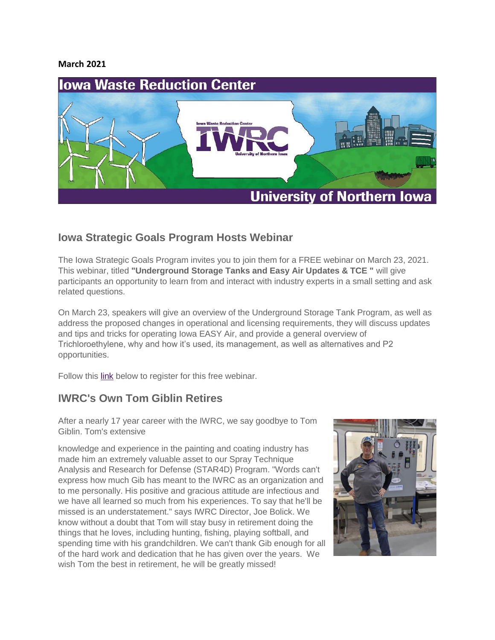#### **March 2021**



### **Iowa Strategic Goals Program Hosts Webinar**

The Iowa Strategic Goals Program invites you to join them for a FREE webinar on March 23, 2021. This webinar, titled **"Underground Storage Tanks and Easy Air Updates & TCE "** will give participants an opportunity to learn from and interact with industry experts in a small setting and ask related questions.

On March 23, speakers will give an overview of the Underground Storage Tank Program, as well as address the proposed changes in operational and licensing requirements, they will discuss updates and tips and tricks for operating Iowa EASY Air, and provide a general overview of Trichloroethylene, why and how it's used, its management, as well as alternatives and P2 opportunities.

Follow this [link](https://uni.zoom.us/webinar/register/WN_V6AXSewkSyKSBN-VwmqjzQ) below to register for this free webinar.

### **IWRC's Own Tom Giblin Retires**

After a nearly 17 year career with the IWRC, we say goodbye to Tom Giblin. Tom's extensive

knowledge and experience in the painting and coating industry has made him an extremely valuable asset to our Spray Technique Analysis and Research for Defense (STAR4D) Program. "Words can't express how much Gib has meant to the IWRC as an organization and to me personally. His positive and gracious attitude are infectious and we have all learned so much from his experiences. To say that he'll be missed is an understatement." says IWRC Director, Joe Bolick. We know without a doubt that Tom will stay busy in retirement doing the things that he loves, including hunting, fishing, playing softball, and spending time with his grandchildren. We can't thank Gib enough for all of the hard work and dedication that he has given over the years. We wish Tom the best in retirement, he will be greatly missed!

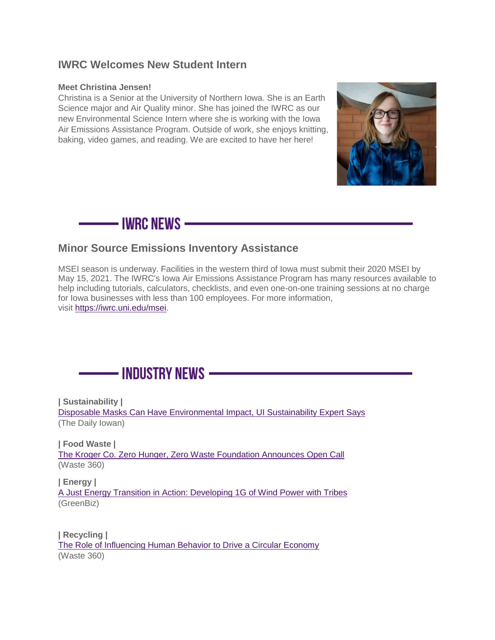#### **IWRC Welcomes New Student Intern**

#### **Meet Christina Jensen!**

Christina is a Senior at the University of Northern Iowa. She is an Earth Science major and Air Quality minor. She has joined the IWRC as our new Environmental Science Intern where she is working with the Iowa Air Emissions Assistance Program. Outside of work, she enjoys knitting, baking, video games, and reading. We are excited to have her here!



—— IWRC NEWS —

### **Minor Source Emissions Inventory Assistance**

MSEI season is underway. Facilities in the western third of Iowa must submit their 2020 MSEI by May 15, 2021. The IWRC's Iowa Air Emissions Assistance Program has many resources available to help including tutorials, calculators, checklists, and even one-on-one training sessions at no charge for Iowa businesses with less than 100 employees. For more information, visit [https://iwrc.uni.edu/msei.](https://uni.us2.list-manage.com/track/click?u=52324a7b4baecc3233a5e8d43&id=f3f9381093&e=b6b220ca9e)



**| Sustainability |** [Disposable Masks Can Have Environmental Impact, UI Sustainability Expert Says](https://dailyiowan.com/2020/09/14/disposable-masks-can-have-environmental-impact-university-of-iowa-sustainability-experts-say/) (The Daily Iowan)

**| Food Waste |** [The Kroger Co. Zero Hunger, Zero Waste Foundation Announces Open Call](https://www.waste360.com/food-waste/kroger-co-zero-hunger-zero-waste-foundation-announces-open-call) (Waste 360)

**| Energy |** [A Just Energy Transition in Action: Developing 1G of Wind Power with Tribes](https://www.greenbiz.com/article/just-energy-transition-action-developing-1g-wind-power-tribes) (GreenBiz)

**| Recycling |** [The Role of Influencing Human Behavior to Drive a Circular Economy](https://www.waste360.com/recycling/role-influencing-human-behavior-drive-circular-economy) (Waste 360)